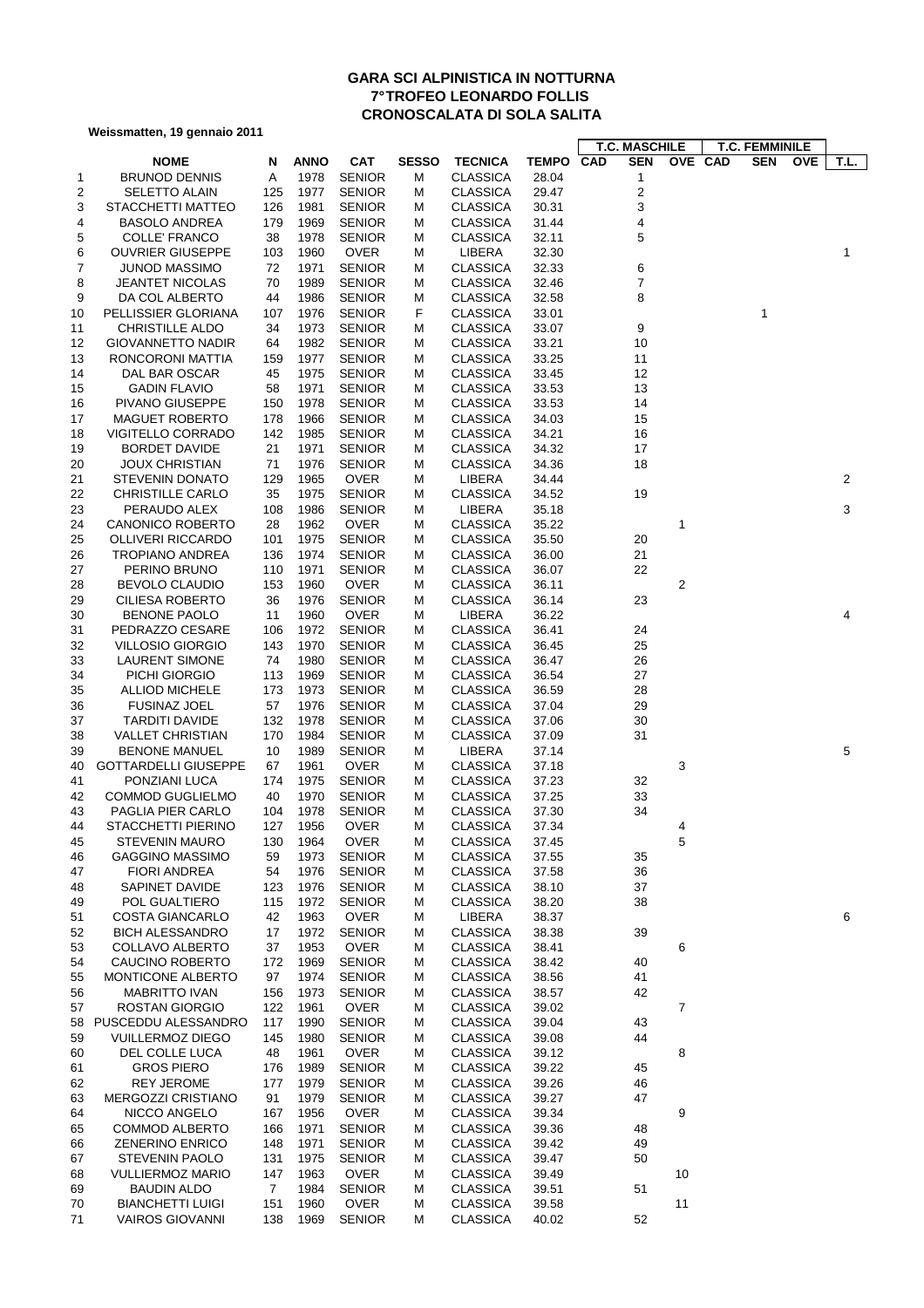## **GARA SCI ALPINISTICA IN NOTTURNA 7° TROFEO LEONARDO FOLLIS CRONOSCALATA DI SOLA SALITA**

**Weissmatten, 19 gennaio 2011**

|    |                             |                |             |               |              |                 |              | <b>T.C. MASCHILE</b> |                | <b>T.C. FEMMINILE</b> |                    |
|----|-----------------------------|----------------|-------------|---------------|--------------|-----------------|--------------|----------------------|----------------|-----------------------|--------------------|
|    | <b>NOME</b>                 | N              | <b>ANNO</b> | <b>CAT</b>    | <b>SESSO</b> | <b>TECNICA</b>  | <b>TEMPO</b> | CAD<br><b>SEN</b>    | OVE CAD        | <b>SEN</b>            | <b>OVE</b><br>T.L. |
| 1  | <b>BRUNOD DENNIS</b>        | Α              | 1978        | <b>SENIOR</b> | М            | <b>CLASSICA</b> | 28.04        | 1                    |                |                       |                    |
| 2  | <b>SELETTO ALAIN</b>        | 125            | 1977        | <b>SENIOR</b> | м            | <b>CLASSICA</b> | 29.47        | $\overline{c}$       |                |                       |                    |
| 3  | STACCHETTI MATTEO           | 126            | 1981        | <b>SENIOR</b> | м            | <b>CLASSICA</b> | 30.31        | 3                    |                |                       |                    |
| 4  | <b>BASOLO ANDREA</b>        | 179            | 1969        | <b>SENIOR</b> | м            | <b>CLASSICA</b> | 31.44        | 4                    |                |                       |                    |
| 5  | COLLE' FRANCO               | 38             | 1978        | <b>SENIOR</b> | м            | <b>CLASSICA</b> | 32.11        | 5                    |                |                       |                    |
| 6  | <b>OUVRIER GIUSEPPE</b>     | 103            | 1960        | <b>OVER</b>   | M            | LIBERA          | 32.30        |                      |                |                       | 1                  |
| 7  | JUNOD MASSIMO               | 72             | 1971        | <b>SENIOR</b> | м            | <b>CLASSICA</b> | 32.33        | 6                    |                |                       |                    |
| 8  | <b>JEANTET NICOLAS</b>      | 70             | 1989        | <b>SENIOR</b> | м            | <b>CLASSICA</b> | 32.46        | 7                    |                |                       |                    |
| 9  | DA COL ALBERTO              | 44             | 1986        | <b>SENIOR</b> | M            | <b>CLASSICA</b> | 32.58        | 8                    |                |                       |                    |
| 10 | PELLISSIER GLORIANA         | 107            | 1976        | <b>SENIOR</b> | F            | <b>CLASSICA</b> | 33.01        |                      |                | 1                     |                    |
| 11 | <b>CHRISTILLE ALDO</b>      | 34             | 1973        | <b>SENIOR</b> | М            | <b>CLASSICA</b> | 33.07        | 9                    |                |                       |                    |
| 12 | <b>GIOVANNETTO NADIR</b>    | 64             | 1982        | <b>SENIOR</b> | м            | <b>CLASSICA</b> | 33.21        | 10                   |                |                       |                    |
| 13 | RONCORONI MATTIA            | 159            | 1977        | <b>SENIOR</b> | м            | <b>CLASSICA</b> | 33.25        | 11                   |                |                       |                    |
| 14 | DAL BAR OSCAR               | 45             | 1975        | <b>SENIOR</b> | M            | <b>CLASSICA</b> | 33.45        | 12                   |                |                       |                    |
| 15 | <b>GADIN FLAVIO</b>         | 58             | 1971        | <b>SENIOR</b> | M            | <b>CLASSICA</b> | 33.53        | 13                   |                |                       |                    |
| 16 | PIVANO GIUSEPPE             | 150            | 1978        | <b>SENIOR</b> | м            | <b>CLASSICA</b> | 33.53        | 14                   |                |                       |                    |
| 17 | <b>MAGUET ROBERTO</b>       | 178            | 1966        | <b>SENIOR</b> | M            | <b>CLASSICA</b> | 34.03        | 15                   |                |                       |                    |
| 18 | <b>VIGITELLO CORRADO</b>    | 142            | 1985        | <b>SENIOR</b> | M            | <b>CLASSICA</b> | 34.21        | 16                   |                |                       |                    |
| 19 | <b>BORDET DAVIDE</b>        | 21             | 1971        | <b>SENIOR</b> | м            | <b>CLASSICA</b> | 34.32        | 17                   |                |                       |                    |
| 20 | <b>JOUX CHRISTIAN</b>       | 71             | 1976        | <b>SENIOR</b> | М            | <b>CLASSICA</b> | 34.36        | 18                   |                |                       |                    |
| 21 | <b>STEVENIN DONATO</b>      | 129            | 1965        | <b>OVER</b>   | м            | LIBERA          | 34.44        |                      |                |                       | $\overline{c}$     |
| 22 | <b>CHRISTILLE CARLO</b>     | 35             | 1975        | <b>SENIOR</b> | м            | <b>CLASSICA</b> | 34.52        | 19                   |                |                       |                    |
| 23 | PERAUDO ALEX                | 108            | 1986        | <b>SENIOR</b> | м            | LIBERA          | 35.18        |                      |                |                       | 3                  |
| 24 | <b>CANONICO ROBERTO</b>     | 28             | 1962        | <b>OVER</b>   | м            | <b>CLASSICA</b> | 35.22        |                      | 1              |                       |                    |
| 25 | <b>OLLIVERI RICCARDO</b>    | 101            | 1975        | <b>SENIOR</b> | м            | <b>CLASSICA</b> | 35.50        | 20                   |                |                       |                    |
|    |                             | 136            | 1974        | <b>SENIOR</b> | м            | <b>CLASSICA</b> | 36.00        | 21                   |                |                       |                    |
| 26 | <b>TROPIANO ANDREA</b>      |                |             |               |              |                 |              |                      |                |                       |                    |
| 27 | PERINO BRUNO                | 110            | 1971        | <b>SENIOR</b> | м            | <b>CLASSICA</b> | 36.07        | 22                   |                |                       |                    |
| 28 | <b>BEVOLO CLAUDIO</b>       | 153            | 1960        | <b>OVER</b>   | М            | <b>CLASSICA</b> | 36.11        |                      | $\sqrt{2}$     |                       |                    |
| 29 | <b>CILIESA ROBERTO</b>      | 36             | 1976        | <b>SENIOR</b> | м            | <b>CLASSICA</b> | 36.14        | 23                   |                |                       |                    |
| 30 | <b>BENONE PAOLO</b>         | 11             | 1960        | <b>OVER</b>   | м            | LIBERA          | 36.22        |                      |                |                       | 4                  |
| 31 | PEDRAZZO CESARE             | 106            | 1972        | <b>SENIOR</b> | м            | <b>CLASSICA</b> | 36.41        | 24                   |                |                       |                    |
| 32 | <b>VILLOSIO GIORGIO</b>     | 143            | 1970        | <b>SENIOR</b> | м            | <b>CLASSICA</b> | 36.45        | 25                   |                |                       |                    |
| 33 | <b>LAURENT SIMONE</b>       | 74             | 1980        | <b>SENIOR</b> | м            | <b>CLASSICA</b> | 36.47        | 26                   |                |                       |                    |
| 34 | PICHI GIORGIO               | 113            | 1969        | <b>SENIOR</b> | м            | <b>CLASSICA</b> | 36.54        | 27                   |                |                       |                    |
| 35 | <b>ALLIOD MICHELE</b>       | 173            | 1973        | <b>SENIOR</b> | м            | <b>CLASSICA</b> | 36.59        | 28                   |                |                       |                    |
| 36 | <b>FUSINAZ JOEL</b>         | 57             | 1976        | <b>SENIOR</b> | M            | <b>CLASSICA</b> | 37.04        | 29                   |                |                       |                    |
| 37 | <b>TARDITI DAVIDE</b>       | 132            | 1978        | <b>SENIOR</b> | м            | <b>CLASSICA</b> | 37.06        | 30                   |                |                       |                    |
| 38 | <b>VALLET CHRISTIAN</b>     | 170            | 1984        | <b>SENIOR</b> | M            | <b>CLASSICA</b> | 37.09        | 31                   |                |                       |                    |
| 39 | <b>BENONE MANUEL</b>        | 10             | 1989        | <b>SENIOR</b> | м            | LIBERA          | 37.14        |                      |                |                       | 5                  |
| 40 | <b>GOTTARDELLI GIUSEPPE</b> | 67             | 1961        | <b>OVER</b>   | м            | <b>CLASSICA</b> | 37.18        |                      | 3              |                       |                    |
| 41 | PONZIANI LUCA               | 174            | 1975        | <b>SENIOR</b> | м            | <b>CLASSICA</b> | 37.23        | 32                   |                |                       |                    |
| 42 | <b>COMMOD GUGLIELMO</b>     | 40             | 1970        | <b>SENIOR</b> | м            | <b>CLASSICA</b> | 37.25        | 33                   |                |                       |                    |
| 43 | PAGLIA PIER CARLO           | 104            | 1978        | <b>SENIOR</b> | M            | <b>CLASSICA</b> | 37.30        | 34                   |                |                       |                    |
| 44 | STACCHETTI PIERINO          | 127            | 1956        | <b>OVER</b>   | М            | <b>CLASSICA</b> | 37.34        |                      | 4              |                       |                    |
| 45 | STEVENIN MAURO              | 130            | 1964        | <b>OVER</b>   | M            | <b>CLASSICA</b> | 37.45        |                      | 5              |                       |                    |
| 46 | <b>GAGGINO MASSIMO</b>      | 59             | 1973        | <b>SENIOR</b> | м            | <b>CLASSICA</b> | 37.55        | 35                   |                |                       |                    |
| 47 | <b>FIORI ANDREA</b>         | 54             | 1976        | <b>SENIOR</b> | м            | <b>CLASSICA</b> | 37.58        | 36                   |                |                       |                    |
| 48 | SAPINET DAVIDE              | 123            | 1976        | <b>SENIOR</b> | M            | <b>CLASSICA</b> | 38.10        | 37                   |                |                       |                    |
| 49 | POL GUALTIERO               | 115            | 1972        | <b>SENIOR</b> | М            | <b>CLASSICA</b> | 38.20        | 38                   |                |                       |                    |
| 51 | COSTA GIANCARLO             | 42             | 1963        | <b>OVER</b>   | м            | LIBERA          | 38.37        |                      |                |                       | 6                  |
| 52 | <b>BICH ALESSANDRO</b>      | 17             | 1972        | <b>SENIOR</b> | M            | <b>CLASSICA</b> | 38.38        | 39                   |                |                       |                    |
| 53 | <b>COLLAVO ALBERTO</b>      | 37             | 1953        | <b>OVER</b>   | м            | <b>CLASSICA</b> | 38.41        |                      | 6              |                       |                    |
| 54 | CAUCINO ROBERTO             | 172            | 1969        | <b>SENIOR</b> | м            | <b>CLASSICA</b> | 38.42        | 40                   |                |                       |                    |
| 55 | MONTICONE ALBERTO           | 97             | 1974        | <b>SENIOR</b> | м            | <b>CLASSICA</b> | 38.56        | 41                   |                |                       |                    |
| 56 | <b>MABRITTO IVAN</b>        | 156            | 1973        | <b>SENIOR</b> | м            | <b>CLASSICA</b> | 38.57        | 42                   |                |                       |                    |
| 57 | ROSTAN GIORGIO              | 122            | 1961        | <b>OVER</b>   | M            | <b>CLASSICA</b> | 39.02        |                      | $\overline{7}$ |                       |                    |
| 58 | PUSCEDDU ALESSANDRO         | 117            | 1990        | <b>SENIOR</b> | м            | <b>CLASSICA</b> | 39.04        | 43                   |                |                       |                    |
| 59 | <b>VUILLERMOZ DIEGO</b>     | 145            | 1980        | <b>SENIOR</b> | м            | <b>CLASSICA</b> | 39.08        | 44                   |                |                       |                    |
| 60 | DEL COLLE LUCA              | 48             | 1961        | <b>OVER</b>   | м            | <b>CLASSICA</b> | 39.12        |                      | 8              |                       |                    |
| 61 | <b>GROS PIERO</b>           | 176            | 1989        | <b>SENIOR</b> | м            | <b>CLASSICA</b> | 39.22        | 45                   |                |                       |                    |
| 62 | <b>REY JEROME</b>           | 177            | 1979        | <b>SENIOR</b> | M            | <b>CLASSICA</b> | 39.26        | 46                   |                |                       |                    |
| 63 | MERGOZZI CRISTIANO          | 91             | 1979        | <b>SENIOR</b> | M            | <b>CLASSICA</b> | 39.27        | 47                   |                |                       |                    |
| 64 | NICCO ANGELO                | 167            | 1956        | <b>OVER</b>   | м            | <b>CLASSICA</b> | 39.34        |                      | 9              |                       |                    |
| 65 | <b>COMMOD ALBERTO</b>       | 166            | 1971        | <b>SENIOR</b> | M            | <b>CLASSICA</b> | 39.36        | 48                   |                |                       |                    |
| 66 | <b>ZENERINO ENRICO</b>      | 148            | 1971        | <b>SENIOR</b> | м            | <b>CLASSICA</b> | 39.42        | 49                   |                |                       |                    |
| 67 | <b>STEVENIN PAOLO</b>       | 131            | 1975        | <b>SENIOR</b> | M            | <b>CLASSICA</b> | 39.47        | 50                   |                |                       |                    |
| 68 | <b>VULLIERMOZ MARIO</b>     | 147            | 1963        | <b>OVER</b>   | м            | <b>CLASSICA</b> | 39.49        |                      | 10             |                       |                    |
| 69 | <b>BAUDIN ALDO</b>          | $\overline{7}$ | 1984        | <b>SENIOR</b> | м            | <b>CLASSICA</b> | 39.51        | 51                   |                |                       |                    |
| 70 | <b>BIANCHETTI LUIGI</b>     | 151            | 1960        | <b>OVER</b>   | м            | <b>CLASSICA</b> | 39.58        |                      | 11             |                       |                    |
| 71 | <b>VAIROS GIOVANNI</b>      | 138            | 1969        | <b>SENIOR</b> | м            | <b>CLASSICA</b> | 40.02        | 52                   |                |                       |                    |
|    |                             |                |             |               |              |                 |              |                      |                |                       |                    |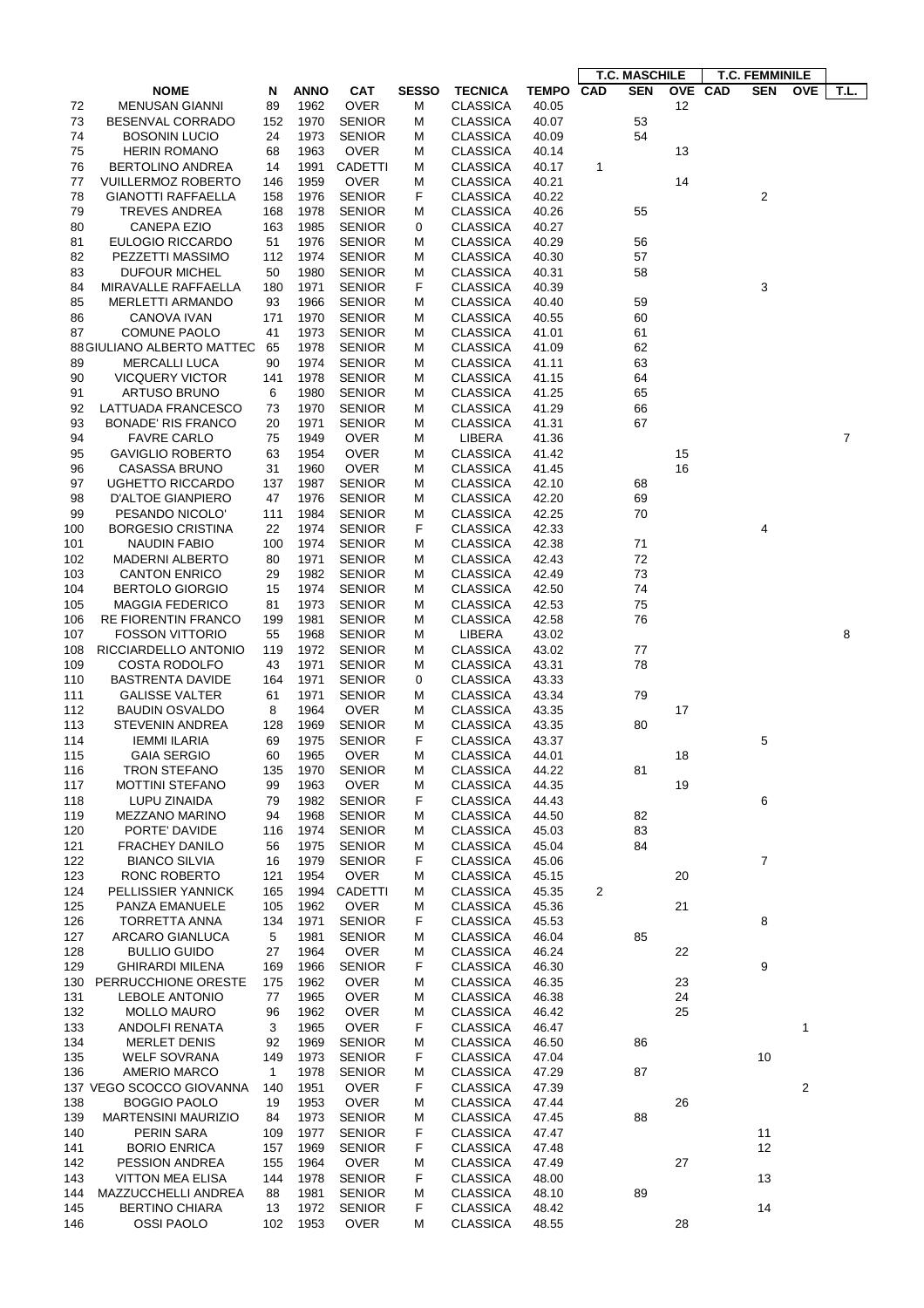|     |                            |              |             |                |              |                 |              | <b>T.C. MASCHILE</b>     |         | <b>T.C. FEMMINILE</b>    |      |
|-----|----------------------------|--------------|-------------|----------------|--------------|-----------------|--------------|--------------------------|---------|--------------------------|------|
|     | <b>NOME</b>                | N            | <b>ANNO</b> | CAT            | <b>SESSO</b> | <b>TECNICA</b>  | <b>TEMPO</b> | <b>CAD</b><br><b>SEN</b> | OVE CAD | <b>SEN</b><br><b>OVE</b> | T.L. |
| 72  | <b>MENUSAN GIANNI</b>      | 89           | 1962        | <b>OVER</b>    | М            | <b>CLASSICA</b> | 40.05        | 12                       |         |                          |      |
| 73  | BESENVAL CORRADO           | 152          | 1970        | <b>SENIOR</b>  | М            | CLASSICA        | 40.07        | 53                       |         |                          |      |
| 74  | <b>BOSONIN LUCIO</b>       | 24           | 1973        | <b>SENIOR</b>  | М            | <b>CLASSICA</b> | 40.09        | 54                       |         |                          |      |
| 75  |                            | 68           | 1963        | <b>OVER</b>    |              | <b>CLASSICA</b> |              | 13                       |         |                          |      |
|     | <b>HERIN ROMANO</b>        |              |             |                | М            |                 | 40.14        |                          |         |                          |      |
| 76  | BERTOLINO ANDREA           | 14           | 1991        | <b>CADETTI</b> | М            | <b>CLASSICA</b> | 40.17        | 1                        |         |                          |      |
| 77  | <b>VUILLERMOZ ROBERTO</b>  | 146          | 1959        | <b>OVER</b>    | М            | <b>CLASSICA</b> | 40.21        | 14                       |         |                          |      |
| 78  | GIANOTTI RAFFAELLA         | 158          | 1976        | <b>SENIOR</b>  | F            | <b>CLASSICA</b> | 40.22        |                          |         | $\overline{\mathbf{c}}$  |      |
| 79  | <b>TREVES ANDREA</b>       | 168          | 1978        | <b>SENIOR</b>  | М            | <b>CLASSICA</b> | 40.26        | 55                       |         |                          |      |
| 80  | <b>CANEPA EZIO</b>         | 163          | 1985        | <b>SENIOR</b>  | 0            | <b>CLASSICA</b> | 40.27        |                          |         |                          |      |
| 81  | EULOGIO RICCARDO           | 51           | 1976        | <b>SENIOR</b>  | М            | CLASSICA        | 40.29        | 56                       |         |                          |      |
| 82  | PEZZETTI MASSIMO           | 112          | 1974        | <b>SENIOR</b>  | М            | <b>CLASSICA</b> | 40.30        | 57                       |         |                          |      |
| 83  | <b>DUFOUR MICHEL</b>       | 50           | 1980        | <b>SENIOR</b>  | М            | <b>CLASSICA</b> | 40.31        | 58                       |         |                          |      |
| 84  | MIRAVALLE RAFFAELLA        | 180          | 1971        | <b>SENIOR</b>  | F            | <b>CLASSICA</b> | 40.39        |                          |         | 3                        |      |
| 85  | <b>MERLETTI ARMANDO</b>    | 93           | 1966        | <b>SENIOR</b>  | M            | <b>CLASSICA</b> | 40.40        | 59                       |         |                          |      |
| 86  | CANOVA IVAN                | 171          | 1970        | <b>SENIOR</b>  | М            | <b>CLASSICA</b> | 40.55        | 60                       |         |                          |      |
| 87  | <b>COMUNE PAOLO</b>        | 41           | 1973        | <b>SENIOR</b>  | М            | <b>CLASSICA</b> | 41.01        | 61                       |         |                          |      |
|     |                            |              |             |                |              |                 |              |                          |         |                          |      |
|     | 88 GIULIANO ALBERTO MATTEC | 65           | 1978        | <b>SENIOR</b>  | М            | <b>CLASSICA</b> | 41.09        | 62                       |         |                          |      |
| 89  | <b>MERCALLI LUCA</b>       | 90           | 1974        | <b>SENIOR</b>  | М            | CLASSICA        | 41.11        | 63                       |         |                          |      |
| 90  | <b>VICQUERY VICTOR</b>     | 141          | 1978        | <b>SENIOR</b>  | м            | <b>CLASSICA</b> | 41.15        | 64                       |         |                          |      |
| 91  | ARTUSO BRUNO               | 6            | 1980        | <b>SENIOR</b>  | м            | <b>CLASSICA</b> | 41.25        | 65                       |         |                          |      |
| 92  | LATTUADA FRANCESCO         | 73           | 1970        | <b>SENIOR</b>  | М            | <b>CLASSICA</b> | 41.29        | 66                       |         |                          |      |
| 93  | <b>BONADE' RIS FRANCO</b>  | 20           | 1971        | <b>SENIOR</b>  | М            | <b>CLASSICA</b> | 41.31        | 67                       |         |                          |      |
| 94  | <b>FAVRE CARLO</b>         | 75           | 1949        | <b>OVER</b>    | М            | LIBERA          | 41.36        |                          |         |                          | 7    |
| 95  | <b>GAVIGLIO ROBERTO</b>    | 63           | 1954        | <b>OVER</b>    | М            | <b>CLASSICA</b> | 41.42        | 15                       |         |                          |      |
| 96  | <b>CASASSA BRUNO</b>       | 31           | 1960        | <b>OVER</b>    | М            | <b>CLASSICA</b> | 41.45        | 16                       |         |                          |      |
| 97  | <b>UGHETTO RICCARDO</b>    | 137          | 1987        | <b>SENIOR</b>  | М            | CLASSICA        | 42.10        | 68                       |         |                          |      |
| 98  | D'ALTOE GIANPIERO          | 47           | 1976        | <b>SENIOR</b>  | м            | <b>CLASSICA</b> | 42.20        | 69                       |         |                          |      |
|     |                            |              |             |                |              |                 |              |                          |         |                          |      |
| 99  | PESANDO NICOLO'            | 111          | 1984        | <b>SENIOR</b>  | М            | <b>CLASSICA</b> | 42.25        | 70                       |         |                          |      |
| 100 | BORGESIO CRISTINA          | 22           | 1974        | <b>SENIOR</b>  | F            | <b>CLASSICA</b> | 42.33        |                          |         | 4                        |      |
| 101 | <b>NAUDIN FABIO</b>        | 100          | 1974        | <b>SENIOR</b>  | М            | <b>CLASSICA</b> | 42.38        | 71                       |         |                          |      |
| 102 | <b>MADERNI ALBERTO</b>     | 80           | 1971        | <b>SENIOR</b>  | м            | <b>CLASSICA</b> | 42.43        | 72                       |         |                          |      |
| 103 | <b>CANTON ENRICO</b>       | 29           | 1982        | <b>SENIOR</b>  | М            | <b>CLASSICA</b> | 42.49        | 73                       |         |                          |      |
| 104 | <b>BERTOLO GIORGIO</b>     | 15           | 1974        | <b>SENIOR</b>  | М            | <b>CLASSICA</b> | 42.50        | 74                       |         |                          |      |
| 105 | <b>MAGGIA FEDERICO</b>     | 81           | 1973        | <b>SENIOR</b>  | М            | <b>CLASSICA</b> | 42.53        | 75                       |         |                          |      |
| 106 | <b>RE FIORENTIN FRANCO</b> | 199          | 1981        | <b>SENIOR</b>  | M            | <b>CLASSICA</b> | 42.58        | 76                       |         |                          |      |
| 107 | <b>FOSSON VITTORIO</b>     | 55           | 1968        | <b>SENIOR</b>  | М            | LIBERA          | 43.02        |                          |         |                          | 8    |
| 108 | RICCIARDELLO ANTONIO       | 119          | 1972        | <b>SENIOR</b>  | м            | <b>CLASSICA</b> | 43.02        | 77                       |         |                          |      |
| 109 | <b>COSTA RODOLFO</b>       | 43           | 1971        | <b>SENIOR</b>  | М            | <b>CLASSICA</b> | 43.31        | 78                       |         |                          |      |
| 110 | <b>BASTRENTA DAVIDE</b>    | 164          | 1971        | <b>SENIOR</b>  | 0            | CLASSICA        | 43.33        |                          |         |                          |      |
| 111 | <b>GALISSE VALTER</b>      | 61           | 1971        | <b>SENIOR</b>  | м            | <b>CLASSICA</b> | 43.34        | 79                       |         |                          |      |
|     |                            |              |             |                |              |                 |              |                          |         |                          |      |
| 112 | <b>BAUDIN OSVALDO</b>      | 8            | 1964        | <b>OVER</b>    | М            | <b>CLASSICA</b> | 43.35        | 17                       |         |                          |      |
| 113 | STEVENIN ANDREA            | 128          | 1969        | <b>SENIOR</b>  | М            | <b>CLASSICA</b> | 43.35        | 80                       |         |                          |      |
| 114 | <b>IEMMI ILARIA</b>        | 69           | 1975        | <b>SENIOR</b>  | F            | <b>CLASSICA</b> | 43.37        |                          |         | 5                        |      |
| 115 | <b>GAIA SERGIO</b>         | 60           | 1965        | <b>OVER</b>    | м            | CLASSICA        | 44.01        | 18                       |         |                          |      |
| 116 | TRON STEFANO               | 135          | 1970        | <b>SENIOR</b>  | М            | <b>CLASSICA</b> | 44.22        | 81                       |         |                          |      |
| 117 | <b>MOTTINI STEFANO</b>     | 99           | 1963        | <b>OVER</b>    | M            | <b>CLASSICA</b> | 44.35        | 19                       |         |                          |      |
| 118 | LUPU ZINAIDA               | 79           | 1982        | <b>SENIOR</b>  | F            | <b>CLASSICA</b> | 44.43        |                          |         | 6                        |      |
| 119 | MEZZANO MARINO             | 94           | 1968        | <b>SENIOR</b>  | M            | <b>CLASSICA</b> | 44.50        | 82                       |         |                          |      |
| 120 | PORTE' DAVIDE              | 116          | 1974        | <b>SENIOR</b>  | М            | <b>CLASSICA</b> | 45.03        | 83                       |         |                          |      |
| 121 | <b>FRACHEY DANILO</b>      | 56           | 1975        | <b>SENIOR</b>  | М            | <b>CLASSICA</b> | 45.04        | 84                       |         |                          |      |
| 122 | <b>BIANCO SILVIA</b>       | 16           | 1979        | <b>SENIOR</b>  | F            | <b>CLASSICA</b> | 45.06        |                          |         | $\overline{7}$           |      |
| 123 | RONC ROBERTO               | 121          | 1954        | <b>OVER</b>    | м            | <b>CLASSICA</b> | 45.15        | 20                       |         |                          |      |
| 124 | PELLISSIER YANNICK         | 165          | 1994        | <b>CADETTI</b> | М            | <b>CLASSICA</b> | 45.35        | 2                        |         |                          |      |
| 125 | PANZA EMANUELE             | 105          | 1962        | <b>OVER</b>    | М            | <b>CLASSICA</b> | 45.36        | 21                       |         |                          |      |
|     |                            |              |             |                |              |                 |              |                          |         |                          |      |
| 126 | TORRETTA ANNA              | 134          | 1971        | <b>SENIOR</b>  | F            | <b>CLASSICA</b> | 45.53        |                          |         | 8                        |      |
| 127 | ARCARO GIANLUCA            | 5            | 1981        | <b>SENIOR</b>  | М            | <b>CLASSICA</b> | 46.04        | 85                       |         |                          |      |
| 128 | <b>BULLIO GUIDO</b>        | 27           | 1964        | <b>OVER</b>    | М            | <b>CLASSICA</b> | 46.24        | 22                       |         |                          |      |
| 129 | <b>GHIRARDI MILENA</b>     | 169          | 1966        | <b>SENIOR</b>  | F            | <b>CLASSICA</b> | 46.30        |                          |         | 9                        |      |
| 130 | PERRUCCHIONE ORESTE        | 175          | 1962        | <b>OVER</b>    | М            | <b>CLASSICA</b> | 46.35        | 23                       |         |                          |      |
| 131 | <b>LEBOLE ANTONIO</b>      | 77           | 1965        | <b>OVER</b>    | М            | <b>CLASSICA</b> | 46.38        | 24                       |         |                          |      |
| 132 | <b>MOLLO MAURO</b>         | 96           | 1962        | <b>OVER</b>    | М            | <b>CLASSICA</b> | 46.42        | 25                       |         |                          |      |
| 133 | ANDOLFI RENATA             | 3            | 1965        | <b>OVER</b>    | F            | <b>CLASSICA</b> | 46.47        |                          |         | 1                        |      |
| 134 | <b>MERLET DENIS</b>        | 92           | 1969        | <b>SENIOR</b>  | M            | <b>CLASSICA</b> | 46.50        | 86                       |         |                          |      |
| 135 | <b>WELF SOVRANA</b>        | 149          | 1973        | <b>SENIOR</b>  | F            | <b>CLASSICA</b> | 47.04        |                          |         | 10                       |      |
| 136 | AMERIO MARCO               | $\mathbf{1}$ | 1978        | <b>SENIOR</b>  | М            | <b>CLASSICA</b> | 47.29        | 87                       |         |                          |      |
|     | 137 VEGO SCOCCO GIOVANNA   | 140          |             | <b>OVER</b>    |              | <b>CLASSICA</b> | 47.39        |                          |         | 2                        |      |
|     |                            |              | 1951        |                | F            |                 |              |                          |         |                          |      |
| 138 | BOGGIO PAOLO               | 19           | 1953        | <b>OVER</b>    | М            | <b>CLASSICA</b> | 47.44        | 26                       |         |                          |      |
| 139 | <b>MARTENSINI MAURIZIO</b> | 84           | 1973        | <b>SENIOR</b>  | М            | CLASSICA        | 47.45        | 88                       |         |                          |      |
| 140 | PERIN SARA                 | 109          | 1977        | <b>SENIOR</b>  | F            | <b>CLASSICA</b> | 47.47        |                          |         | 11                       |      |
| 141 | <b>BORIO ENRICA</b>        | 157          | 1969        | <b>SENIOR</b>  | F            | <b>CLASSICA</b> | 47.48        |                          |         | 12                       |      |
| 142 | PESSION ANDREA             | 155          | 1964        | <b>OVER</b>    | M            | <b>CLASSICA</b> | 47.49        | 27                       |         |                          |      |
| 143 | <b>VITTON MEA ELISA</b>    | 144          | 1978        | <b>SENIOR</b>  | F            | <b>CLASSICA</b> | 48.00        |                          |         | 13                       |      |
| 144 | MAZZUCCHELLI ANDREA        | 88           | 1981        | <b>SENIOR</b>  | М            | <b>CLASSICA</b> | 48.10        | 89                       |         |                          |      |
| 145 | <b>BERTINO CHIARA</b>      | 13           | 1972        | <b>SENIOR</b>  | F            | <b>CLASSICA</b> | 48.42        |                          |         | 14                       |      |
| 146 | <b>OSSI PAOLO</b>          | 102          | 1953        | <b>OVER</b>    | Μ            | <b>CLASSICA</b> | 48.55        | 28                       |         |                          |      |
|     |                            |              |             |                |              |                 |              |                          |         |                          |      |